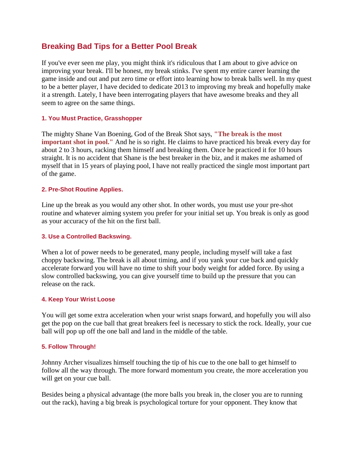# **Breaking Bad Tips for a Better Pool Break**

If you've ever seen me play, you might think it's ridiculous that I am about to give advice on improving your break. I'll be honest, my break stinks. I've spent my entire career learning the game inside and out and put zero time or effort into learning how to break balls well. In my quest to be a better player, I have decided to dedicate 2013 to improving my break and hopefully make it a strength. Lately, I have been interrogating players that have awesome breaks and they all seem to agree on the same things.

### **1. You Must Practice, Grasshopper**

The mighty Shane Van Boening, God of the Break Shot says, **"The break is the most important shot in pool."** And he is so right. He claims to have practiced his break every day for about 2 to 3 hours, racking them himself and breaking them. Once he practiced it for 10 hours straight. It is no accident that Shane is the best breaker in the biz, and it makes me ashamed of myself that in 15 years of playing pool, I have not really practiced the single most important part of the game.

## **2. Pre-Shot Routine Applies.**

Line up the break as you would any other shot. In other words, you must use your pre-shot routine and whatever aiming system you prefer for your initial set up. You break is only as good as your accuracy of the hit on the first ball.

### **3. Use a Controlled Backswing.**

When a lot of power needs to be generated, many people, including myself will take a fast choppy backswing. The break is all about timing, and if you yank your cue back and quickly accelerate forward you will have no time to shift your body weight for added force. By using a slow controlled backswing, you can give yourself time to build up the pressure that you can release on the rack.

### **4. Keep Your Wrist Loose**

You will get some extra acceleration when your wrist snaps forward, and hopefully you will also get the pop on the cue ball that great breakers feel is necessary to stick the rock. Ideally, your cue ball will pop up off the one ball and land in the middle of the table.

### **5. Follow Through!**

Johnny Archer visualizes himself touching the tip of his cue to the one ball to get himself to follow all the way through. The more forward momentum you create, the more acceleration you will get on your cue ball.

Besides being a physical advantage (the more balls you break in, the closer you are to running out the rack), having a big break is psychological torture for your opponent. They know that